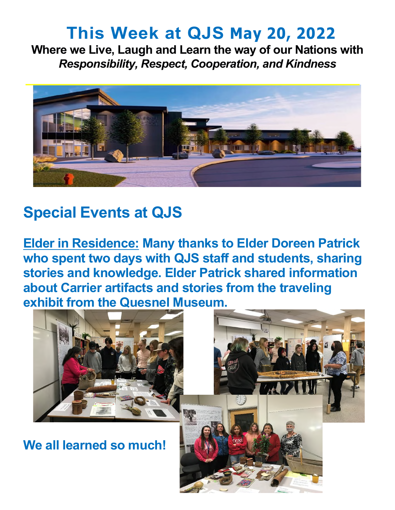## **This Week at QJS May 20, 2022**

**Where we Live, Laugh and Learn the way of our Nations with**  *Responsibility, Respect, Cooperation, and Kindness* 



### **Special Events at QJS**

**Elder in Residence: Many thanks to Elder Doreen Patrick who spent two days with QJS staff and students, sharing stories and knowledge. Elder Patrick shared information about Carrier artifacts and stories from the traveling exhibit from the Quesnel Museum.** 



**We all learned so much!**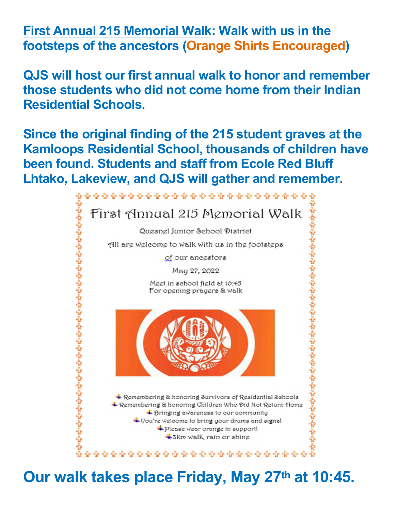**First Annual 215 Memorial Walk: Walk with us in the footsteps of the ancestors (Orange Shirts Encouraged)** 

**QJS will host our first annual walk to honor and remember those students who did not come home from their Indian Residential Schools.** 

**Since the original finding of the 215 student graves at the Kamloops Residential School, thousands of children have been found. Students and staff from Ecole Red Bluff Lhtako, Lakeview, and QJS will gather and remember.** 



**Our walk takes place Friday, May 27th at 10:45.**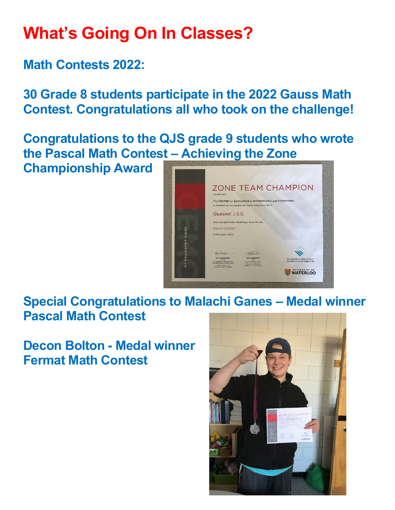# **What's Going On In Classes?**

**Math Contests 2022:** 

**30 Grade 8 students participate in the 2022 Gauss Math Contest. Congratulations all who took on the challenge!** 

**Congratulations to the QJS grade 9 students who wrote the Pascal Math Contest – Achieving the Zone** 

**Championship Award** 



#### **Special Congratulations to Malachi Ganes – Medal winner Pascal Math Contest**

**Decon Bolton - Medal winner Fermat Math Contest** 

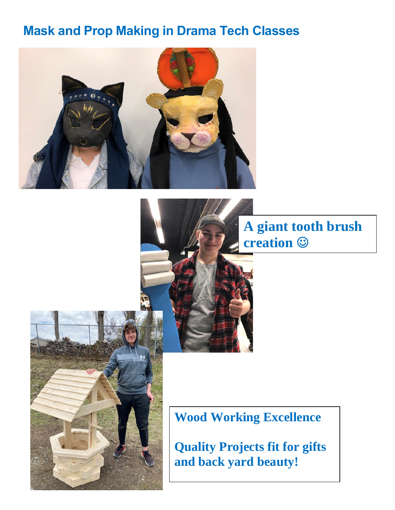#### **Mask and Prop Making in Drama Tech Classes**





**A giant tooth brush creation** 



**Wood Working Excellence** 

**Quality Projects fit for gifts and back yard beauty!**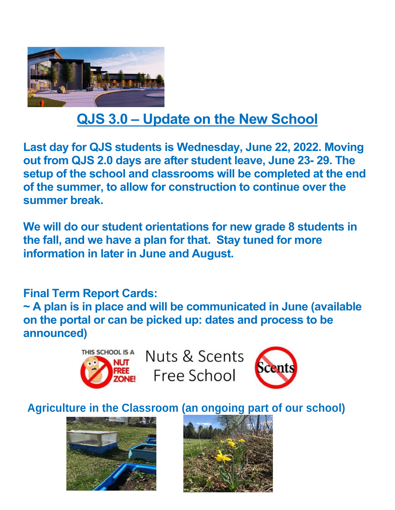

## **QJS 3.0 – Update on the New School**

**Last day for QJS students is Wednesday, June 22, 2022. Moving out from QJS 2.0 days are after student leave, June 23- 29. The setup of the school and classrooms will be completed at the end of the summer, to allow for construction to continue over the summer break.** 

**We will do our student orientations for new grade 8 students in the fall, and we have a plan for that. Stay tuned for more information in later in June and August.** 

**Final Term Report Cards:** 

**~ A plan is in place and will be communicated in June (available on the portal or can be picked up: dates and process to be announced)** 



Nuts & Scents Free School



**Agriculture in the Classroom (an ongoing part of our school)** 



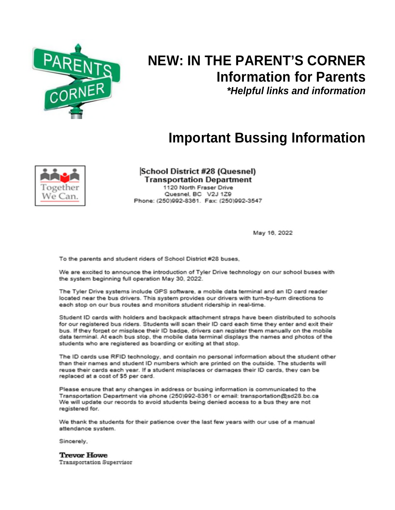

### **NEW: IN THE PARENT'S CORNER Information for Parents**

*\*Helpful links and information* 

#### **Important Bussing Information**



**School District #28 (Quesnel) Transportation Department** 1120 North Fraser Drive Quesnel, BC V2J 1Z9<br>Phone: (250)992-8361. Fax: (250)992-3547

May 16, 2022

To the parents and student riders of School District #28 buses,

We are excited to announce the introduction of Tyler Drive technology on our school buses with the system beginning full operation May 30, 2022.

The Tyler Drive systems include GPS software, a mobile data terminal and an ID card reader located near the bus drivers. This system provides our drivers with turn-by-turn directions to each stop on our bus routes and monitors student ridership in real-time.

Student ID cards with holders and backpack attachment straps have been distributed to schools for our registered bus riders. Students will scan their ID card each time they enter and exit their bus. If they forget or misplace their ID badge, drivers can register them manually on the mobile data terminal. At each bus stop, the mobile data terminal displays the names and photos of the students who are registered as boarding or exiting at that stop.

The ID cards use RFID technology, and contain no personal information about the student other than their names and student ID numbers which are printed on the outside. The students will reuse their cards each year. If a student misplaces or damages their ID cards, they can be replaced at a cost of \$5 per card.

Please ensure that any changes in address or busing information is communicated to the Transportation Department via phone (250)992-8361 or email: transportation@sd28.bc.ca We will update our records to avoid students being denied access to a bus they are not registered for.

We thank the students for their patience over the last few years with our use of a manual attendance system.

Sincerely,

**Trevor Howe Transportation Supervisor**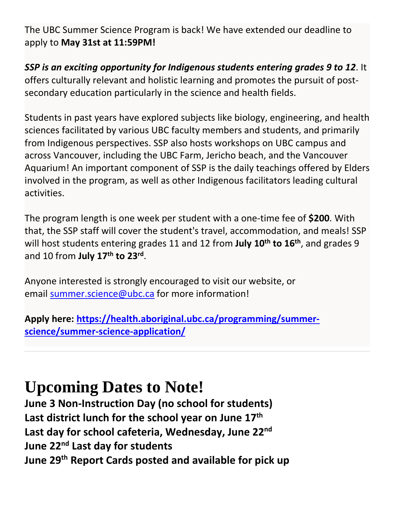The UBC Summer Science Program is back! We have extended our deadline to apply to **May 31st at 11:59PM!**

*SSP is an exciting opportunity for Indigenous students entering grades 9 to 12*. It offers culturally relevant and holistic learning and promotes the pursuit of postsecondary education particularly in the science and health fields.

Students in past years have explored subjects like biology, engineering, and health sciences facilitated by various UBC faculty members and students, and primarily from Indigenous perspectives. SSP also hosts workshops on UBC campus and across Vancouver, including the UBC Farm, Jericho beach, and the Vancouver Aquarium! An important component of SSP is the daily teachings offered by Elders involved in the program, as well as other Indigenous facilitators leading cultural activities.

The program length is one week per student with a one-time fee of **\$200**. With that, the SSP staff will cover the student's travel, accommodation, and meals! SSP will host students entering grades 11 and 12 from **July 10th to 16th**, and grades 9 and 10 from **July 17th to 23rd** .

Anyone interested is strongly encouraged to visit our website, or email [summer.science@ubc.ca](mailto:summer.science@ubc.ca) for more information!

**Apply here: [https://health.aboriginal.ubc.ca/programming/summer](https://health.aboriginal.ubc.ca/programming/summer-science/summer-science-application/)[science/summer-science-application/](https://health.aboriginal.ubc.ca/programming/summer-science/summer-science-application/)**

# **Upcoming Dates to Note!**

**June 3 Non-Instruction Day (no school for students) Last district lunch for the school year on June 17th Last day for school cafeteria, Wednesday, June 22nd June 22nd Last day for students June 29th Report Cards posted and available for pick up**